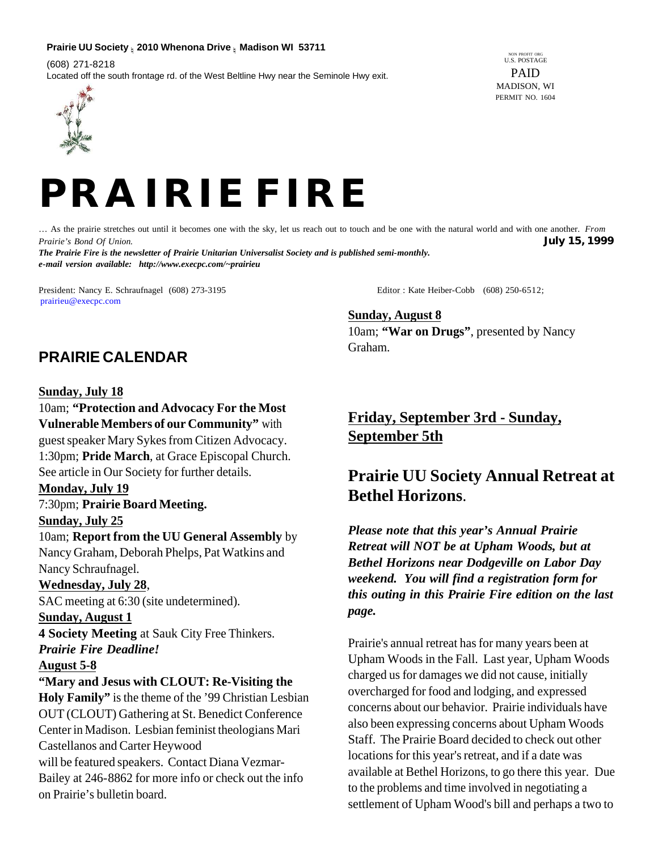#### **Prairie UU Society n 2010 Whenona Drive n Madison WI 53711**

(608) 271-8218 Located off the south frontage rd. of the West Beltline Hwy near the Seminole Hwy exit.

IN PROFIT ORG U.S. POSTAGE PAID MADISON, WI PERMIT NO. 1604





… As the prairie stretches out until it becomes one with the sky, let us reach out to touch and be one with the natural world and with one another. *From Prairie's Bond Of Union.* **July 15, 1999** *The Prairie Fire is the newsletter of Prairie Unitarian Universalist Society and is published semi-monthly. e-mail version available: http://www.execpc.com/~prairieu*

President: Nancy E. Schraufnagel (608) 273-3195 Editor: Kate Heiber-Cobb (608) 250-6512; prairieu@execpc.com

**Sunday, August 8** 10am; **"War on Drugs"**, presented by Nancy Graham.

# **PRAIRIE CALENDAR**

#### **Sunday, July 18**

10am; **"Protection and Advocacy For the Most Vulnerable Members of our Community"** with guest speaker Mary Sykes from Citizen Advocacy. 1:30pm; **Pride March**, at Grace Episcopal Church. See article in Our Society for further details.

#### **Monday, July 19**

# 7:30pm; **Prairie Board Meeting. Sunday, July 25**

10am; **Report from the UU General Assembly** by Nancy Graham, Deborah Phelps, Pat Watkins and Nancy Schraufnagel.

### **Wednesday, July 28**,

SAC meeting at 6:30 (site undetermined).

#### **Sunday, August 1**

**4 Society Meeting** at Sauk City Free Thinkers. *Prairie Fire Deadline!*

#### **August 5-8**

**"Mary and Jesus with CLOUT: Re-Visiting the Holy Family"** is the theme of the '99 Christian Lesbian OUT (CLOUT) Gathering at St. Benedict Conference Center in Madison. Lesbian feminist theologians Mari Castellanos and Carter Heywood will be featured speakers. Contact Diana Vezmar-Bailey at 246-8862 for more info or check out the info on Prairie's bulletin board.

# **Friday, September 3rd - Sunday, September 5th**

# **Prairie UU Society Annual Retreat at Bethel Horizons**.

*Please note that this year's Annual Prairie Retreat will NOT be at Upham Woods, but at Bethel Horizons near Dodgeville on Labor Day weekend. You will find a registration form for this outing in this Prairie Fire edition on the last page.*

Prairie's annual retreat has for many years been at Upham Woods in the Fall. Last year, Upham Woods charged us for damages we did not cause, initially overcharged for food and lodging, and expressed concerns about our behavior. Prairie individuals have also been expressing concerns about Upham Woods Staff. The Prairie Board decided to check out other locations for this year's retreat, and if a date was available at Bethel Horizons, to go there this year. Due to the problems and time involved in negotiating a settlement of Upham Wood's bill and perhaps a two to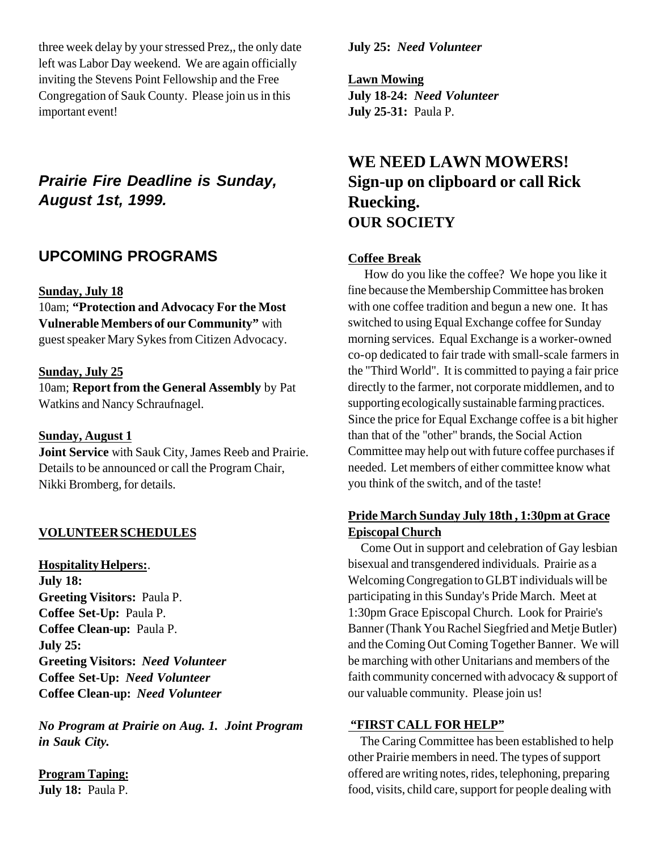three week delay by your stressed Prez,, the only date left was Labor Day weekend. We are again officially inviting the Stevens Point Fellowship and the Free Congregation of Sauk County. Please join us in this important event!

# *Prairie Fire Deadline is Sunday, August 1st, 1999.*

# **UPCOMING PROGRAMS**

### **Sunday, July 18**

10am; **"Protection and Advocacy For the Most Vulnerable Members of our Community"** with guest speaker Mary Sykes from Citizen Advocacy.

### **Sunday, July 25**

10am; **Report from the General Assembly** by Pat Watkins and Nancy Schraufnagel.

#### **Sunday, August 1**

**Joint Service** with Sauk City, James Reeb and Prairie. Details to be announced or call the Program Chair, Nikki Bromberg, for details.

## **VOLUNTEER SCHEDULES**

**Hospitality Helpers:**. **July 18: Greeting Visitors:** Paula P. **Coffee Set-Up:** Paula P. **Coffee Clean-up:** Paula P. **July 25: Greeting Visitors:** *Need Volunteer* **Coffee Set-Up:** *Need Volunteer* **Coffee Clean-up:** *Need Volunteer*

*No Program at Prairie on Aug. 1. Joint Program in Sauk City.*

**Program Taping: July 18:** Paula P.

**July 25:** *Need Volunteer*

**Lawn Mowing July 18-24:** *Need Volunteer* **July 25-31:** Paula P.

# **WE NEED LAWN MOWERS! Sign-up on clipboard or call Rick Ruecking. OUR SOCIETY**

## **Coffee Break**

 How do you like the coffee? We hope you like it fine because the Membership Committee has broken with one coffee tradition and begun a new one. It has switched to using Equal Exchange coffee for Sunday morning services. Equal Exchange is a worker-owned co-op dedicated to fair trade with small-scale farmers in the "Third World". It is committed to paying a fair price directly to the farmer, not corporate middlemen, and to supporting ecologically sustainable farming practices. Since the price for Equal Exchange coffee is a bit higher than that of the "other" brands, the Social Action Committee may help out with future coffee purchases if needed. Let members of either committee know what you think of the switch, and of the taste!

# **Pride March Sunday July 18th , 1:30pm at Grace Episcopal Church**

 Come Out in support and celebration of Gay lesbian bisexual and transgendered individuals. Prairie as a Welcoming Congregation to GLBT individuals will be participating in this Sunday's Pride March. Meet at 1:30pm Grace Episcopal Church. Look for Prairie's Banner (Thank You Rachel Siegfried and Metje Butler) and the Coming Out Coming Together Banner. We will be marching with other Unitarians and members of the faith community concerned with advocacy & support of our valuable community. Please join us!

#### **"FIRST CALL FOR HELP"**

 The Caring Committee has been established to help other Prairie members in need. The types of support offered are writing notes, rides, telephoning, preparing food, visits, child care, support for people dealing with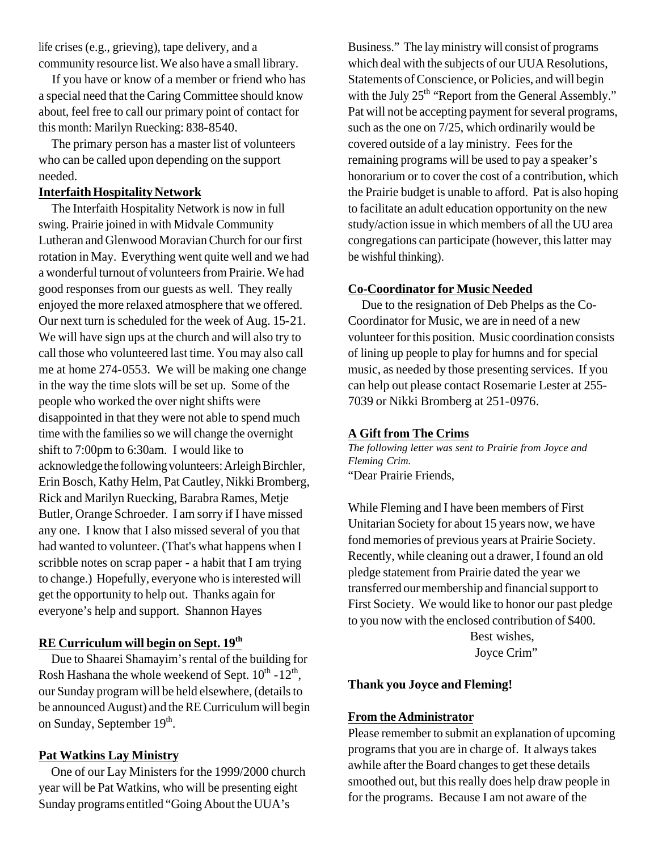life crises (e.g., grieving), tape delivery, and a community resource list. We also have a small library.

 If you have or know of a member or friend who has a special need that the Caring Committee should know about, feel free to call our primary point of contact for this month: Marilyn Ruecking: 838-8540.

 The primary person has a master list of volunteers who can be called upon depending on the support needed.

## **Interfaith Hospitality Network**

 The Interfaith Hospitality Network is now in full swing. Prairie joined in with Midvale Community Lutheran and Glenwood Moravian Church for our first rotation in May. Everything went quite well and we had a wonderful turnout of volunteers from Prairie. We had good responses from our guests as well. They really enjoyed the more relaxed atmosphere that we offered. Our next turn is scheduled for the week of Aug. 15-21. We will have sign ups at the church and will also try to call those who volunteered last time. You may also call me at home 274-0553. We will be making one change in the way the time slots will be set up. Some of the people who worked the over night shifts were disappointed in that they were not able to spend much time with the families so we will change the overnight shift to 7:00pm to 6:30am. I would like to acknowledge the following volunteers: Arleigh Birchler, Erin Bosch, Kathy Helm, Pat Cautley, Nikki Bromberg, Rick and Marilyn Ruecking, Barabra Rames, Metje Butler, Orange Schroeder. I am sorry if I have missed any one. I know that I also missed several of you that had wanted to volunteer. (That's what happens when I scribble notes on scrap paper - a habit that I am trying to change.) Hopefully, everyone who is interested will get the opportunity to help out. Thanks again for everyone's help and support. Shannon Hayes

# **RE Curriculum will begin on Sept. 19th**

 Due to Shaarei Shamayim's rental of the building for Rosh Hashana the whole weekend of Sept.  $10^{th}$  -  $12^{th}$ , our Sunday program will be held elsewhere, (details to be announced August) and the RE Curriculum will begin on Sunday, September 19<sup>th</sup>.

# **Pat Watkins Lay Ministry**

 One of our Lay Ministers for the 1999/2000 church year will be Pat Watkins, who will be presenting eight Sunday programs entitled "Going About the UUA's

Business." The lay ministry will consist of programs which deal with the subjects of our UUA Resolutions, Statements of Conscience, or Policies, and will begin with the July  $25<sup>th</sup>$  "Report from the General Assembly." Pat will not be accepting payment for several programs, such as the one on 7/25, which ordinarily would be covered outside of a lay ministry. Fees for the remaining programs will be used to pay a speaker's honorarium or to cover the cost of a contribution, which the Prairie budget is unable to afford. Pat is also hoping to facilitate an adult education opportunity on the new study/action issue in which members of all the UU area congregations can participate (however, this latter may be wishful thinking).

# **Co-Coordinator for Music Needed**

 Due to the resignation of Deb Phelps as the Co-Coordinator for Music, we are in need of a new volunteer for this position. Music coordination consists of lining up people to play for humns and for special music, as needed by those presenting services. If you can help out please contact Rosemarie Lester at 255- 7039 or Nikki Bromberg at 251-0976.

## **A Gift from The Crims**

*The following letter was sent to Prairie from Joyce and Fleming Crim.* "Dear Prairie Friends,

While Fleming and I have been members of First Unitarian Society for about 15 years now, we have fond memories of previous years at Prairie Society. Recently, while cleaning out a drawer, I found an old pledge statement from Prairie dated the year we transferred our membership and financial support to First Society. We would like to honor our past pledge to you now with the enclosed contribution of \$400.

> Best wishes, Joyce Crim"

# **Thank you Joyce and Fleming!**

## **From the Administrator**

Please remember to submit an explanation of upcoming programs that you are in charge of. It always takes awhile after the Board changes to get these details smoothed out, but this really does help draw people in for the programs. Because I am not aware of the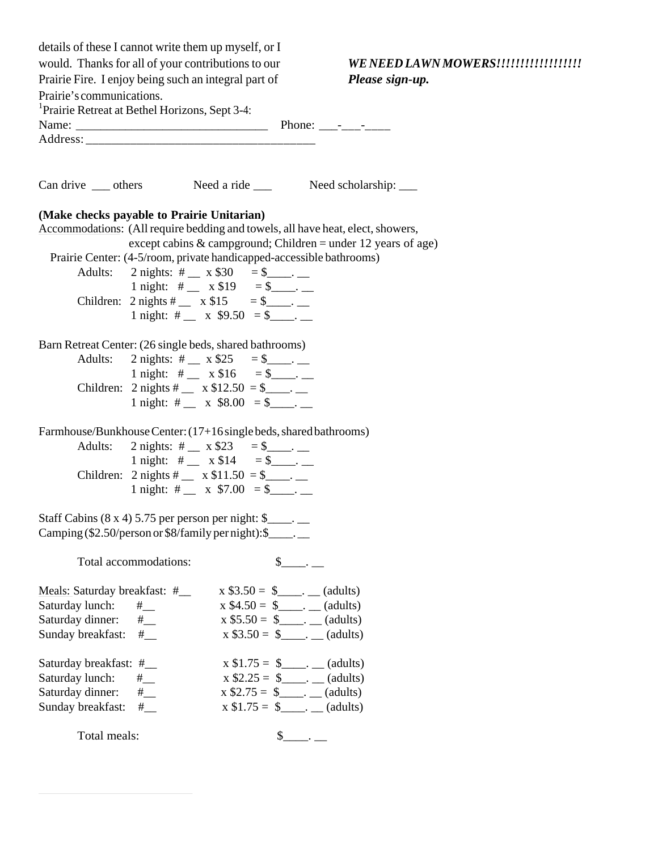| would. Thanks for all of your contributions to our<br>WE NEED LAWN MOWERS!!!!!!!!!!!!!!!!!!!<br>Prairie Fire. I enjoy being such an integral part of<br>Please sign-up.<br>Prairie's communications.<br><sup>1</sup> Prairie Retreat at Bethel Horizons, Sept 3-4: |
|--------------------------------------------------------------------------------------------------------------------------------------------------------------------------------------------------------------------------------------------------------------------|
|                                                                                                                                                                                                                                                                    |
|                                                                                                                                                                                                                                                                    |
|                                                                                                                                                                                                                                                                    |
|                                                                                                                                                                                                                                                                    |
|                                                                                                                                                                                                                                                                    |
|                                                                                                                                                                                                                                                                    |
| Can drive ____ others Need a ride ____ Need scholarship: ____                                                                                                                                                                                                      |
| (Make checks payable to Prairie Unitarian)                                                                                                                                                                                                                         |
| Accommodations: (All require bedding and towels, all have heat, elect, showers,                                                                                                                                                                                    |
| except cabins & campground; Children = under 12 years of age)                                                                                                                                                                                                      |
| Prairie Center: (4-5/room, private handicapped-accessible bathrooms)                                                                                                                                                                                               |
| Adults: 2 nights: # $ x $30 = $$ .                                                                                                                                                                                                                                 |
| 1 night: # _ x \$19 = \$ ______.                                                                                                                                                                                                                                   |
| Children: $2 \text{ nights } #$ x $$15 = $$ =                                                                                                                                                                                                                      |
| 1 night: # _ x $$9.50 = $$ ___.                                                                                                                                                                                                                                    |
| Barn Retreat Center: (26 single beds, shared bathrooms)                                                                                                                                                                                                            |
| Adults: 2 nights: # $ x $25 = $$ .                                                                                                                                                                                                                                 |
| 1 night: # _ x \$16 = \$ ____.                                                                                                                                                                                                                                     |
| Children: 2 nights # __ x $$12.50 = $$ ___.                                                                                                                                                                                                                        |
| 1 night: # _ x $$8.00 = $$ __.                                                                                                                                                                                                                                     |
| Farmhouse/Bunkhouse Center: (17+16 single beds, shared bathrooms)                                                                                                                                                                                                  |
| Adults:<br>2 nights: # _ x \$23 = \$ _____.                                                                                                                                                                                                                        |
| 1 night: # _ x \$14 = \$ _____.                                                                                                                                                                                                                                    |
| Children: 2 nights # _ x $$11.50 = $$ ___.                                                                                                                                                                                                                         |
| 1 night: # _ x $$7.00 = $$ __.                                                                                                                                                                                                                                     |
|                                                                                                                                                                                                                                                                    |
| Staff Cabins (8 x 4) 5.75 per person per night: \$<br>Camping (\$2.50/person or \$8/family per night): \$                                                                                                                                                          |
|                                                                                                                                                                                                                                                                    |
| $\mathbb{S}$<br>Total accommodations:                                                                                                                                                                                                                              |
| $x $3.50 = $$ (adults)<br>Meals: Saturday breakfast: #                                                                                                                                                                                                             |
| Saturday lunch:<br>$x $4.50 = $$ (adults)<br># $-$                                                                                                                                                                                                                 |
| Saturday dinner:<br>$x $5.50 = $$ _____. ___ (adults)<br>#                                                                                                                                                                                                         |
| $x $3.50 = $$ (adults)<br>Sunday breakfast:<br>#                                                                                                                                                                                                                   |
| Saturday breakfast: #__<br>$x $1.75 = $$ (adults)                                                                                                                                                                                                                  |
| $x $2.25 = $$ (adults)<br>Saturday lunch:<br>#                                                                                                                                                                                                                     |
| $x $2.75 = $$ (adults)<br>Saturday dinner:                                                                                                                                                                                                                         |
| $x $1.75 = $$ (adults)<br>Sunday breakfast:<br>#                                                                                                                                                                                                                   |
| Total meals:<br>$\frac{\S_{\frac{1}{2}}}{\S_{\frac{1}{2}}}{\S_{\frac{1}{2}}}$                                                                                                                                                                                      |

 $\overline{a}$